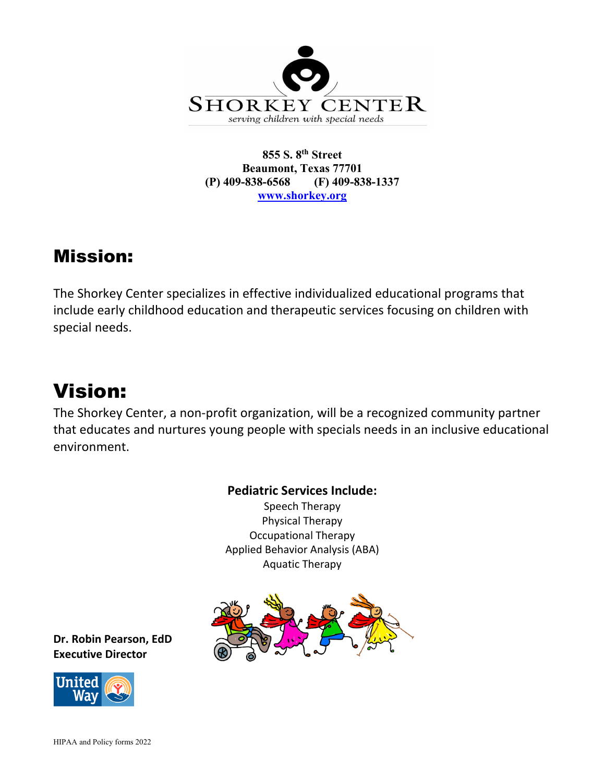

#### **855 S. 8th Street Beaumont, Texas 77701 (P) 409-838-6568 (F) 409-838-1337 [www.shorkey.org](http://www.shorkey.org/)**

## Mission:

The Shorkey Center specializes in effective individualized educational programs that include early childhood education and therapeutic services focusing on children with special needs.

# Vision:

The Shorkey Center, a non-profit organization, will be a recognized community partner that educates and nurtures young people with specials needs in an inclusive educational environment.

**Pediatric Services Include:**

Speech Therapy Physical Therapy Occupational Therapy Applied Behavior Analysis (ABA) Aquatic Therapy



**Dr. Robin Pearson, EdD Executive Director**

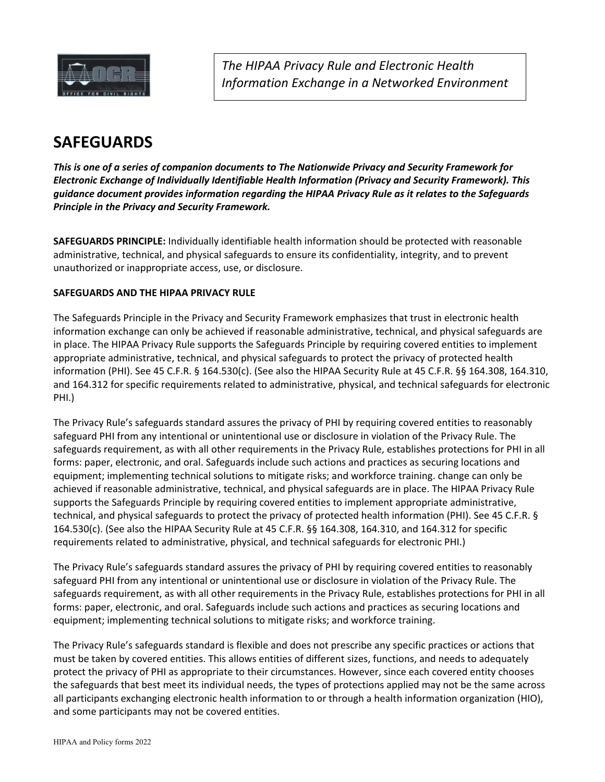

*The HIPAA Privacy Rule and Electronic Health Information Exchange in a Networked Environment*

### **SAFEGUARDS**

*This is one of a series of companion documents to The Nationwide Privacy and Security Framework for Electronic Exchange of Individually Identifiable Health Information (Privacy and Security Framework). This guidance document provides information regarding the HIPAA Privacy Rule as it relates to the Safeguards Principle in the Privacy and Security Framework.* 

**SAFEGUARDS PRINCIPLE:** Individually identifiable health information should be protected with reasonable administrative, technical, and physical safeguards to ensure its confidentiality, integrity, and to prevent unauthorized or inappropriate access, use, or disclosure.

#### **SAFEGUARDS AND THE HIPAA PRIVACY RULE**

The Safeguards Principle in the Privacy and Security Framework emphasizes that trust in electronic health information exchange can only be achieved if reasonable administrative, technical, and physical safeguards are in place. The HIPAA Privacy Rule supports the Safeguards Principle by requiring covered entities to implement appropriate administrative, technical, and physical safeguards to protect the privacy of protected health information (PHI). See 45 C.F.R. § 164.530(c). (See also the HIPAA Security Rule at 45 C.F.R. §§ 164.308, 164.310, and 164.312 for specific requirements related to administrative, physical, and technical safeguards for electronic PHI.)

The Privacy Rule's safeguards standard assures the privacy of PHI by requiring covered entities to reasonably safeguard PHI from any intentional or unintentional use or disclosure in violation of the Privacy Rule. The safeguards requirement, as with all other requirements in the Privacy Rule, establishes protections for PHI in all forms: paper, electronic, and oral. Safeguards include such actions and practices as securing locations and equipment; implementing technical solutions to mitigate risks; and workforce training. change can only be achieved if reasonable administrative, technical, and physical safeguards are in place. The HIPAA Privacy Rule supports the Safeguards Principle by requiring covered entities to implement appropriate administrative, technical, and physical safeguards to protect the privacy of protected health information (PHI). See 45 C.F.R. § 164.530(c). (See also the HIPAA Security Rule at 45 C.F.R. §§ 164.308, 164.310, and 164.312 for specific requirements related to administrative, physical, and technical safeguards for electronic PHI.)

The Privacy Rule's safeguards standard assures the privacy of PHI by requiring covered entities to reasonably safeguard PHI from any intentional or unintentional use or disclosure in violation of the Privacy Rule. The safeguards requirement, as with all other requirements in the Privacy Rule, establishes protections for PHI in all forms: paper, electronic, and oral. Safeguards include such actions and practices as securing locations and equipment; implementing technical solutions to mitigate risks; and workforce training.

The Privacy Rule's safeguards standard is flexible and does not prescribe any specific practices or actions that must be taken by covered entities. This allows entities of different sizes, functions, and needs to adequately protect the privacy of PHI as appropriate to their circumstances. However, since each covered entity chooses the safeguards that best meet its individual needs, the types of protections applied may not be the same across all participants exchanging electronic health information to or through a health information organization (HIO), and some participants may not be covered entities.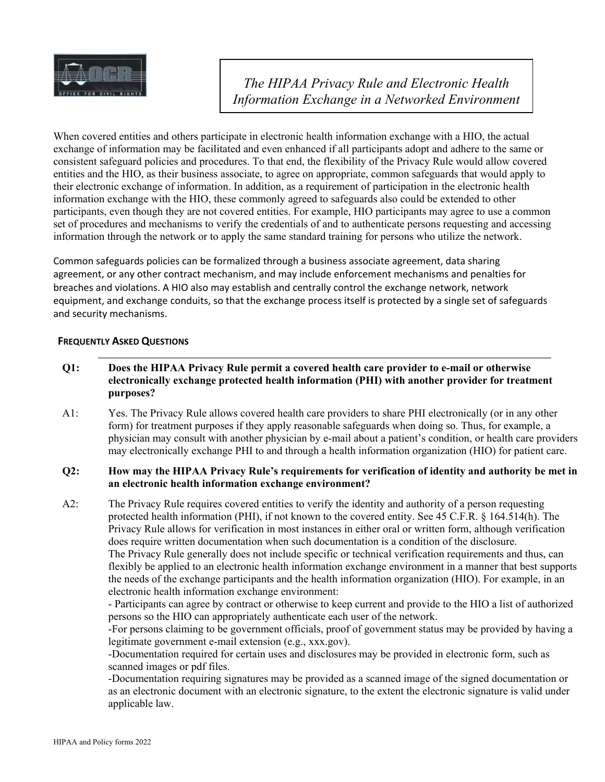

*The HIPAA Privacy Rule and Electronic Health Information Exchange in a Networked Environment*

When covered entities and others participate in electronic health information exchange with a HIO, the actual exchange of information may be facilitated and even enhanced if all participants adopt and adhere to the same or consistent safeguard policies and procedures. To that end, the flexibility of the Privacy Rule would allow covered entities and the HIO, as their business associate, to agree on appropriate, common safeguards that would apply to their electronic exchange of information. In addition, as a requirement of participation in the electronic health information exchange with the HIO, these commonly agreed to safeguards also could be extended to other participants, even though they are not covered entities. For example, HIO participants may agree to use a common set of procedures and mechanisms to verify the credentials of and to authenticate persons requesting and accessing information through the network or to apply the same standard training for persons who utilize the network.

Common safeguards policies can be formalized through a business associate agreement, data sharing agreement, or any other contract mechanism, and may include enforcement mechanisms and penalties for breaches and violations. A HIO also may establish and centrally control the exchange network, network equipment, and exchange conduits, so that the exchange process itself is protected by a single set of safeguards and security mechanisms.

#### **FREQUENTLY ASKED QUESTIONS**

- **Q1: Does the HIPAA Privacy Rule permit a covered health care provider to e-mail or otherwise electronically exchange protected health information (PHI) with another provider for treatment purposes?**
- A1: Yes. The Privacy Rule allows covered health care providers to share PHI electronically (or in any other form) for treatment purposes if they apply reasonable safeguards when doing so. Thus, for example, a physician may consult with another physician by e-mail about a patient's condition, or health care providers may electronically exchange PHI to and through a health information organization (HIO) for patient care.

#### **Q2: How may the HIPAA Privacy Rule's requirements for verification of identity and authority be met in an electronic health information exchange environment?**

A2: The Privacy Rule requires covered entities to verify the identity and authority of a person requesting protected health information (PHI), if not known to the covered entity. See 45 C.F.R. § 164.514(h). The Privacy Rule allows for verification in most instances in either oral or written form, although verification does require written documentation when such documentation is a condition of the disclosure. The Privacy Rule generally does not include specific or technical verification requirements and thus, can flexibly be applied to an electronic health information exchange environment in a manner that best supports the needs of the exchange participants and the health information organization (HIO). For example, in an electronic health information exchange environment:

- Participants can agree by contract or otherwise to keep current and provide to the HIO a list of authorized persons so the HIO can appropriately authenticate each user of the network.

-For persons claiming to be government officials, proof of government status may be provided by having a legitimate government e-mail extension (e.g., xxx.gov).

-Documentation required for certain uses and disclosures may be provided in electronic form, such as scanned images or pdf files.

-Documentation requiring signatures may be provided as a scanned image of the signed documentation or as an electronic document with an electronic signature, to the extent the electronic signature is valid under applicable law.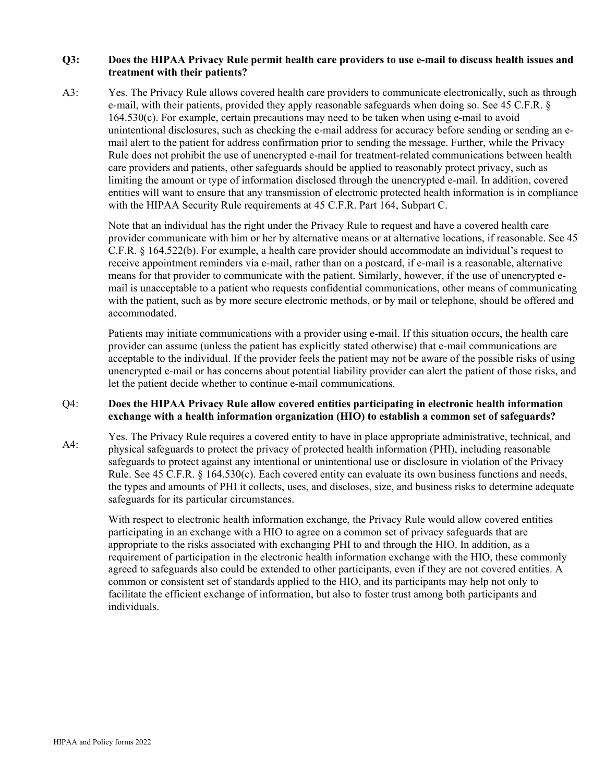#### **Q3: Does the HIPAA Privacy Rule permit health care providers to use e-mail to discuss health issues and treatment with their patients?**

A3: Yes. The Privacy Rule allows covered health care providers to communicate electronically, such as through e-mail, with their patients, provided they apply reasonable safeguards when doing so. See 45 C.F.R. § 164.530(c). For example, certain precautions may need to be taken when using e-mail to avoid unintentional disclosures, such as checking the e-mail address for accuracy before sending or sending an email alert to the patient for address confirmation prior to sending the message. Further, while the Privacy Rule does not prohibit the use of unencrypted e-mail for treatment-related communications between health care providers and patients, other safeguards should be applied to reasonably protect privacy, such as limiting the amount or type of information disclosed through the unencrypted e-mail. In addition, covered entities will want to ensure that any transmission of electronic protected health information is in compliance with the HIPAA Security Rule requirements at 45 C.F.R. Part 164, Subpart C.

Note that an individual has the right under the Privacy Rule to request and have a covered health care provider communicate with him or her by alternative means or at alternative locations, if reasonable. See 45 C.F.R. § 164.522(b). For example, a health care provider should accommodate an individual's request to receive appointment reminders via e-mail, rather than on a postcard, if e-mail is a reasonable, alternative means for that provider to communicate with the patient. Similarly, however, if the use of unencrypted email is unacceptable to a patient who requests confidential communications, other means of communicating with the patient, such as by more secure electronic methods, or by mail or telephone, should be offered and accommodated.

Patients may initiate communications with a provider using e-mail. If this situation occurs, the health care provider can assume (unless the patient has explicitly stated otherwise) that e-mail communications are acceptable to the individual. If the provider feels the patient may not be aware of the possible risks of using unencrypted e-mail or has concerns about potential liability provider can alert the patient of those risks, and let the patient decide whether to continue e-mail communications.

#### Q4: **Does the HIPAA Privacy Rule allow covered entities participating in electronic health information exchange with a health information organization (HIO) to establish a common set of safeguards?**

A4: Yes. The Privacy Rule requires a covered entity to have in place appropriate administrative, technical, and physical safeguards to protect the privacy of protected health information (PHI), including reasonable safeguards to protect against any intentional or unintentional use or disclosure in violation of the Privacy Rule. See 45 C.F.R. § 164.530(c). Each covered entity can evaluate its own business functions and needs, the types and amounts of PHI it collects, uses, and discloses, size, and business risks to determine adequate safeguards for its particular circumstances.

With respect to electronic health information exchange, the Privacy Rule would allow covered entities participating in an exchange with a HIO to agree on a common set of privacy safeguards that are appropriate to the risks associated with exchanging PHI to and through the HIO. In addition, as a requirement of participation in the electronic health information exchange with the HIO, these commonly agreed to safeguards also could be extended to other participants, even if they are not covered entities. A common or consistent set of standards applied to the HIO, and its participants may help not only to facilitate the efficient exchange of information, but also to foster trust among both participants and individuals.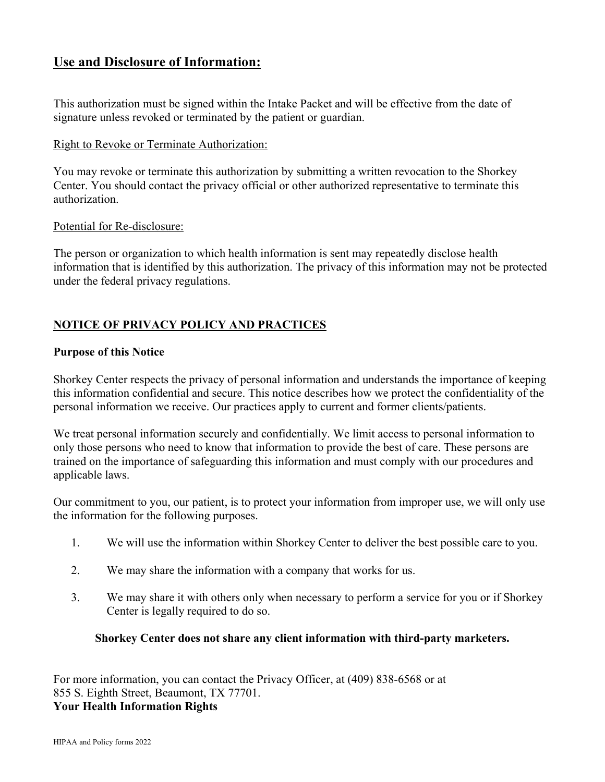#### **Use and Disclosure of Information:**

This authorization must be signed within the Intake Packet and will be effective from the date of signature unless revoked or terminated by the patient or guardian.

#### Right to Revoke or Terminate Authorization:

You may revoke or terminate this authorization by submitting a written revocation to the Shorkey Center. You should contact the privacy official or other authorized representative to terminate this authorization.

#### Potential for Re-disclosure:

The person or organization to which health information is sent may repeatedly disclose health information that is identified by this authorization. The privacy of this information may not be protected under the federal privacy regulations.

#### **NOTICE OF PRIVACY POLICY AND PRACTICES**

#### **Purpose of this Notice**

Shorkey Center respects the privacy of personal information and understands the importance of keeping this information confidential and secure. This notice describes how we protect the confidentiality of the personal information we receive. Our practices apply to current and former clients/patients.

We treat personal information securely and confidentially. We limit access to personal information to only those persons who need to know that information to provide the best of care. These persons are trained on the importance of safeguarding this information and must comply with our procedures and applicable laws.

Our commitment to you, our patient, is to protect your information from improper use, we will only use the information for the following purposes.

- 1. We will use the information within Shorkey Center to deliver the best possible care to you.
- 2. We may share the information with a company that works for us.
- 3. We may share it with others only when necessary to perform a service for you or if Shorkey Center is legally required to do so.

#### **Shorkey Center does not share any client information with third-party marketers.**

For more information, you can contact the Privacy Officer, at (409) 838-6568 or at 855 S. Eighth Street, Beaumont, TX 77701. **Your Health Information Rights**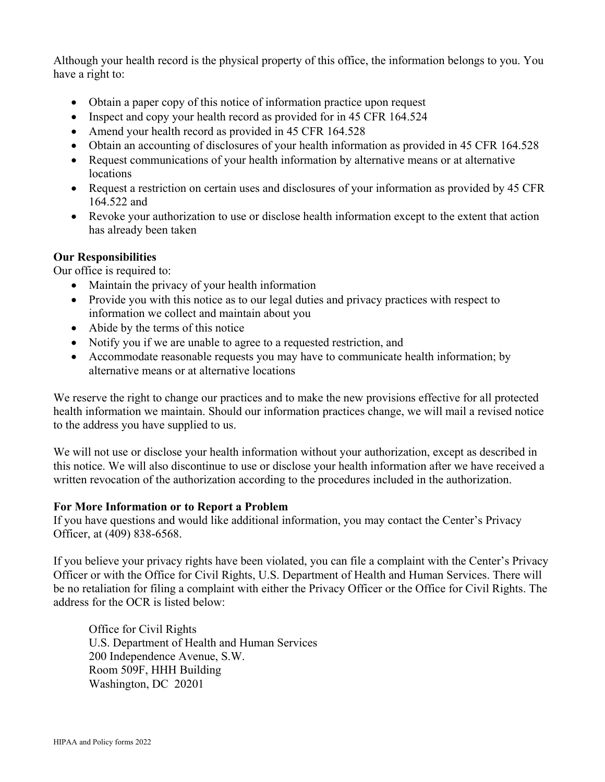Although your health record is the physical property of this office, the information belongs to you. You have a right to:

- Obtain a paper copy of this notice of information practice upon request
- Inspect and copy your health record as provided for in 45 CFR 164.524
- Amend your health record as provided in 45 CFR 164.528
- Obtain an accounting of disclosures of your health information as provided in 45 CFR 164.528
- Request communications of your health information by alternative means or at alternative locations
- Request a restriction on certain uses and disclosures of your information as provided by 45 CFR 164.522 and
- Revoke your authorization to use or disclose health information except to the extent that action has already been taken

#### **Our Responsibilities**

Our office is required to:

- Maintain the privacy of your health information
- Provide you with this notice as to our legal duties and privacy practices with respect to information we collect and maintain about you
- Abide by the terms of this notice
- Notify you if we are unable to agree to a requested restriction, and
- Accommodate reasonable requests you may have to communicate health information; by alternative means or at alternative locations

We reserve the right to change our practices and to make the new provisions effective for all protected health information we maintain. Should our information practices change, we will mail a revised notice to the address you have supplied to us.

We will not use or disclose your health information without your authorization, except as described in this notice. We will also discontinue to use or disclose your health information after we have received a written revocation of the authorization according to the procedures included in the authorization.

#### **For More Information or to Report a Problem**

If you have questions and would like additional information, you may contact the Center's Privacy Officer, at (409) 838-6568.

If you believe your privacy rights have been violated, you can file a complaint with the Center's Privacy Officer or with the Office for Civil Rights, U.S. Department of Health and Human Services. There will be no retaliation for filing a complaint with either the Privacy Officer or the Office for Civil Rights. The address for the OCR is listed below:

Office for Civil Rights U.S. Department of Health and Human Services 200 Independence Avenue, S.W. Room 509F, HHH Building Washington, DC 20201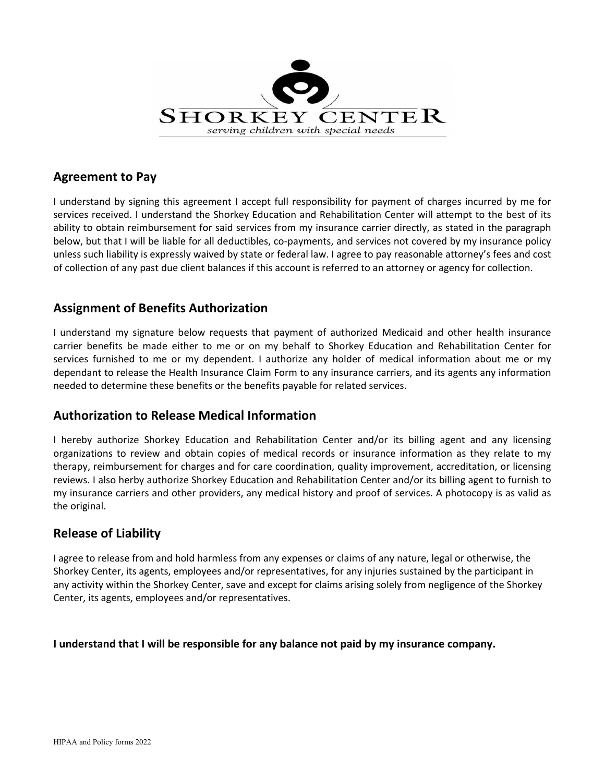

#### **Agreement to Pay**

I understand by signing this agreement I accept full responsibility for payment of charges incurred by me for services received. I understand the Shorkey Education and Rehabilitation Center will attempt to the best of its ability to obtain reimbursement for said services from my insurance carrier directly, as stated in the paragraph below, but that I will be liable for all deductibles, co-payments, and services not covered by my insurance policy unless such liability is expressly waived by state or federal law. I agree to pay reasonable attorney's fees and cost of collection of any past due client balances if this account is referred to an attorney or agency for collection.

#### **Assignment of Benefits Authorization**

I understand my signature below requests that payment of authorized Medicaid and other health insurance carrier benefits be made either to me or on my behalf to Shorkey Education and Rehabilitation Center for services furnished to me or my dependent. I authorize any holder of medical information about me or my dependant to release the Health Insurance Claim Form to any insurance carriers, and its agents any information needed to determine these benefits or the benefits payable for related services.

#### **Authorization to Release Medical Information**

I hereby authorize Shorkey Education and Rehabilitation Center and/or its billing agent and any licensing organizations to review and obtain copies of medical records or insurance information as they relate to my therapy, reimbursement for charges and for care coordination, quality improvement, accreditation, or licensing reviews. I also herby authorize Shorkey Education and Rehabilitation Center and/or its billing agent to furnish to my insurance carriers and other providers, any medical history and proof of services. A photocopy is as valid as the original.

#### **Release of Liability**

I agree to release from and hold harmless from any expenses or claims of any nature, legal or otherwise, the Shorkey Center, its agents, employees and/or representatives, for any injuries sustained by the participant in any activity within the Shorkey Center, save and except for claims arising solely from negligence of the Shorkey Center, its agents, employees and/or representatives.

#### **I understand that I will be responsible for any balance not paid by my insurance company.**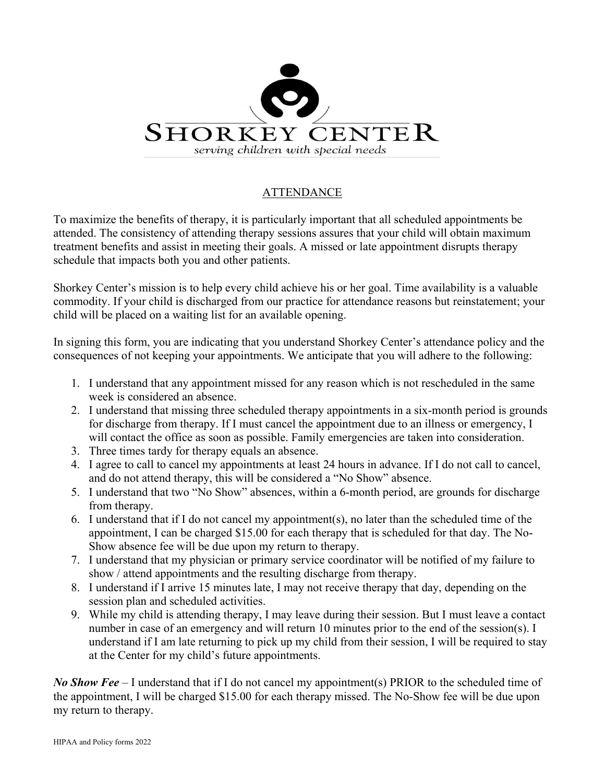

#### ATTENDANCE

To maximize the benefits of therapy, it is particularly important that all scheduled appointments be attended. The consistency of attending therapy sessions assures that your child will obtain maximum treatment benefits and assist in meeting their goals. A missed or late appointment disrupts therapy schedule that impacts both you and other patients.

Shorkey Center's mission is to help every child achieve his or her goal. Time availability is a valuable commodity. If your child is discharged from our practice for attendance reasons but reinstatement; your child will be placed on a waiting list for an available opening.

In signing this form, you are indicating that you understand Shorkey Center's attendance policy and the consequences of not keeping your appointments. We anticipate that you will adhere to the following:

- 1. I understand that any appointment missed for any reason which is not rescheduled in the same week is considered an absence.
- 2. I understand that missing three scheduled therapy appointments in a six-month period is grounds for discharge from therapy. If I must cancel the appointment due to an illness or emergency, I will contact the office as soon as possible. Family emergencies are taken into consideration.
- 3. Three times tardy for therapy equals an absence.
- 4. I agree to call to cancel my appointments at least 24 hours in advance. If I do not call to cancel, and do not attend therapy, this will be considered a "No Show" absence.
- 5. I understand that two "No Show" absences, within a 6-month period, are grounds for discharge from therapy.
- 6. I understand that if I do not cancel my appointment(s), no later than the scheduled time of the appointment, I can be charged \$15.00 for each therapy that is scheduled for that day. The No-Show absence fee will be due upon my return to therapy.
- 7. I understand that my physician or primary service coordinator will be notified of my failure to show / attend appointments and the resulting discharge from therapy.
- 8. I understand if I arrive 15 minutes late, I may not receive therapy that day, depending on the session plan and scheduled activities.
- 9. While my child is attending therapy, I may leave during their session. But I must leave a contact number in case of an emergency and will return 10 minutes prior to the end of the session(s). I understand if I am late returning to pick up my child from their session, I will be required to stay at the Center for my child's future appointments.

*No Show Fee –* I understand that if I do not cancel my appointment(s) PRIOR to the scheduled time of the appointment, I will be charged \$15.00 for each therapy missed. The No-Show fee will be due upon my return to therapy.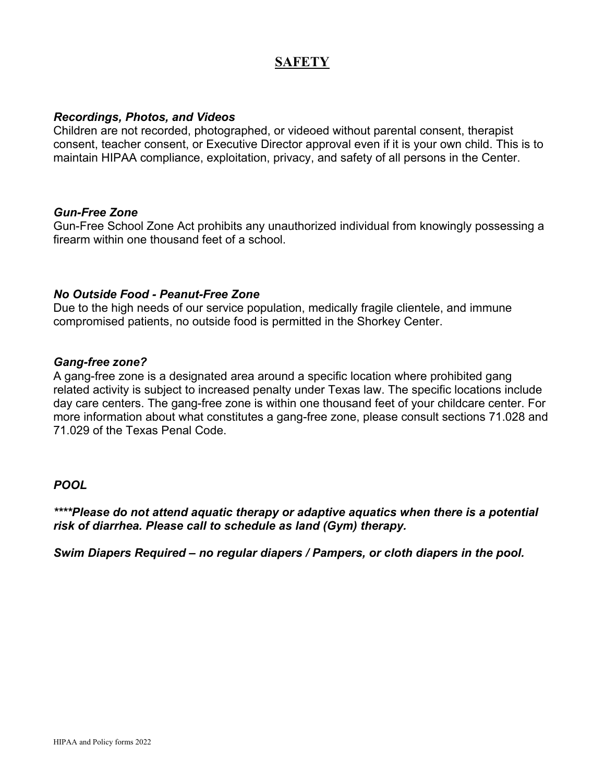### **SAFETY**

#### *Recordings, Photos, and Videos*

Children are not recorded, photographed, or videoed without parental consent, therapist consent, teacher consent, or Executive Director approval even if it is your own child. This is to maintain HIPAA compliance, exploitation, privacy, and safety of all persons in the Center.

#### *Gun-Free Zone*

Gun-Free School Zone Act prohibits any unauthorized individual from knowingly possessing a firearm within one thousand feet of a school.

#### *No Outside Food - Peanut-Free Zone*

Due to the high needs of our service population, medically fragile clientele, and immune compromised patients, no outside food is permitted in the Shorkey Center.

#### *Gang-free zone?*

A gang-free zone is a designated area around a specific location where prohibited gang related activity is subject to increased penalty under Texas law. The specific locations include day care centers. The gang-free zone is within one thousand feet of your childcare center. For more information about what constitutes a gang-free zone, please consult sections 71.028 and 71.029 of the Texas Penal Code.

#### *POOL*

*\*\*\*\*Please do not attend aquatic therapy or adaptive aquatics when there is a potential risk of diarrhea. Please call to schedule as land (Gym) therapy.*

*Swim Diapers Required – no regular diapers / Pampers, or cloth diapers in the pool.*